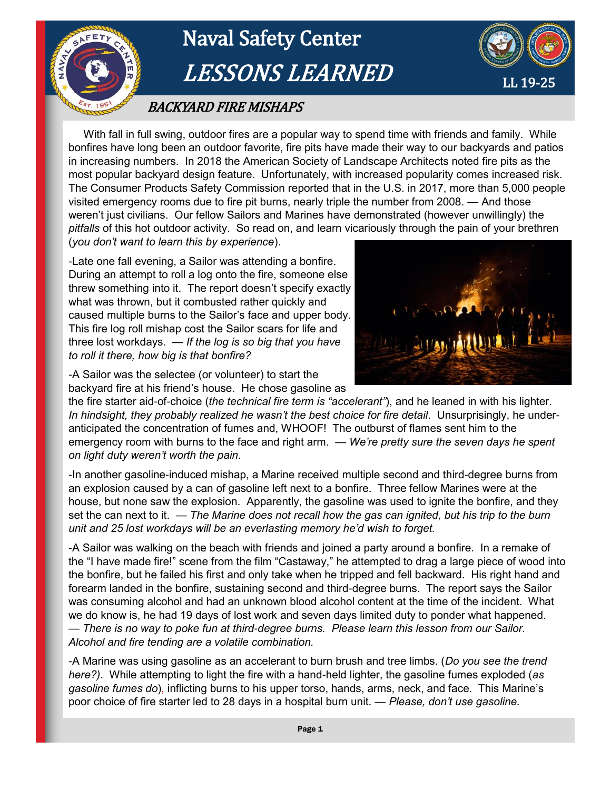

 With fall in full swing, outdoor fires are a popular way to spend time with friends and family. While bonfires have long been an outdoor favorite, fire pits have made their way to our backyards and patios in increasing numbers. In 2018 the American Society of Landscape Architects noted fire pits as the most popular backyard design feature. Unfortunately, with increased popularity comes increased risk. The Consumer Products Safety Commission reported that in the U.S. in 2017, more than 5,000 people visited emergency rooms due to fire pit burns, nearly triple the number from 2008. — And those weren't just civilians. Our fellow Sailors and Marines have demonstrated (however unwillingly) the *pitfalls* of this hot outdoor activity. So read on, and learn vicariously through the pain of your brethren (*you don't want to learn this by experience*).

-Late one fall evening, a Sailor was attending a bonfire. During an attempt to roll a log onto the fire, someone else threw something into it. The report doesn't specify exactly what was thrown, but it combusted rather quickly and caused multiple burns to the Sailor's face and upper body. This fire log roll mishap cost the Sailor scars for life and three lost workdays. *— If the log is so big that you have to roll it there, how big is that bonfire?* 



-A Sailor was the selectee (or volunteer) to start the backyard fire at his friend's house. He chose gasoline as

the fire starter aid-of-choice (*the technical fire term is "accelerant"*), and he leaned in with his lighter. *In hindsight, they probably realized he wasn't the best choice for fire detail.* Unsurprisingly, he underanticipated the concentration of fumes and, WHOOF! The outburst of flames sent him to the emergency room with burns to the face and right arm. — *We're pretty sure the seven days he spent on light duty weren't worth the pain.*

-In another gasoline-induced mishap, a Marine received multiple second and third-degree burns from an explosion caused by a can of gasoline left next to a bonfire. Three fellow Marines were at the house, but none saw the explosion. Apparently, the gasoline was used to ignite the bonfire, and they set the can next to it. — *The Marine does not recall how the gas can ignited, but his trip to the burn unit and 25 lost workdays will be an everlasting memory he'd wish to forget.*

-A Sailor was walking on the beach with friends and joined a party around a bonfire. In a remake of the "I have made fire!" scene from the film "Castaway," he attempted to drag a large piece of wood into the bonfire, but he failed his first and only take when he tripped and fell backward. His right hand and forearm landed in the bonfire, sustaining second and third-degree burns. The report says the Sailor was consuming alcohol and had an unknown blood alcohol content at the time of the incident. What we do know is, he had 19 days of lost work and seven days limited duty to ponder what happened. — *There is no way to poke fun at third-degree burns. Please learn this lesson from our Sailor. Alcohol and fire tending are a volatile combination.*

-A Marine was using gasoline as an accelerant to burn brush and tree limbs. (*Do you see the trend here?)*. While attempting to light the fire with a hand-held lighter, the gasoline fumes exploded (*as gasoline fumes do*), inflicting burns to his upper torso, hands, arms, neck, and face. This Marine's poor choice of fire starter led to 28 days in a hospital burn unit. *— Please, don't use gasoline.*